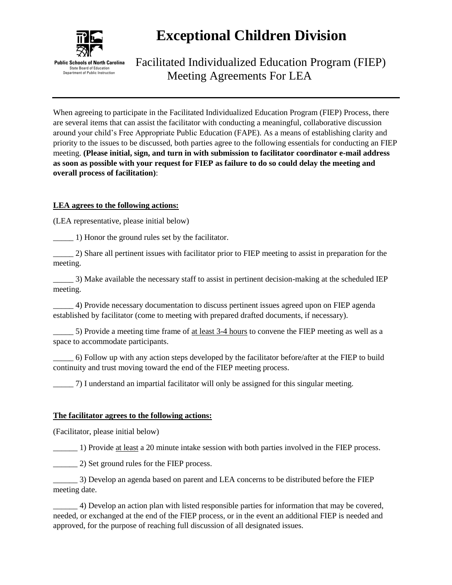

## **Exceptional Children Division**

Facilitated Individualized Education Program (FIEP) Meeting Agreements For LEA

When agreeing to participate in the Facilitated Individualized Education Program (FIEP) Process, there are several items that can assist the facilitator with conducting a meaningful, collaborative discussion around your child's Free Appropriate Public Education (FAPE). As a means of establishing clarity and priority to the issues to be discussed, both parties agree to the following essentials for conducting an FIEP meeting. **(Please initial, sign, and turn in with submission to facilitator coordinator e-mail address as soon as possible with your request for FIEP as failure to do so could delay the meeting and overall process of facilitation)**:

#### **LEA agrees to the following actions:**

(LEA representative, please initial below)

\_\_\_\_\_ 1) Honor the ground rules set by the facilitator.

\_\_\_\_\_ 2) Share all pertinent issues with facilitator prior to FIEP meeting to assist in preparation for the meeting.

\_\_\_\_\_ 3) Make available the necessary staff to assist in pertinent decision-making at the scheduled IEP meeting.

\_\_\_\_\_ 4) Provide necessary documentation to discuss pertinent issues agreed upon on FIEP agenda established by facilitator (come to meeting with prepared drafted documents, if necessary).

\_\_\_\_\_ 5) Provide a meeting time frame of at least 3-4 hours to convene the FIEP meeting as well as a space to accommodate participants.

\_\_\_\_\_ 6) Follow up with any action steps developed by the facilitator before/after at the FIEP to build continuity and trust moving toward the end of the FIEP meeting process.

\_\_\_\_\_ 7) I understand an impartial facilitator will only be assigned for this singular meeting.

#### **The facilitator agrees to the following actions:**

(Facilitator, please initial below)

\_\_\_\_\_\_ 1) Provide at least a 20 minute intake session with both parties involved in the FIEP process.

2) Set ground rules for the FIEP process.

\_\_\_\_\_\_ 3) Develop an agenda based on parent and LEA concerns to be distributed before the FIEP meeting date.

\_\_\_\_\_\_ 4) Develop an action plan with listed responsible parties for information that may be covered, needed, or exchanged at the end of the FIEP process, or in the event an additional FIEP is needed and approved, for the purpose of reaching full discussion of all designated issues.